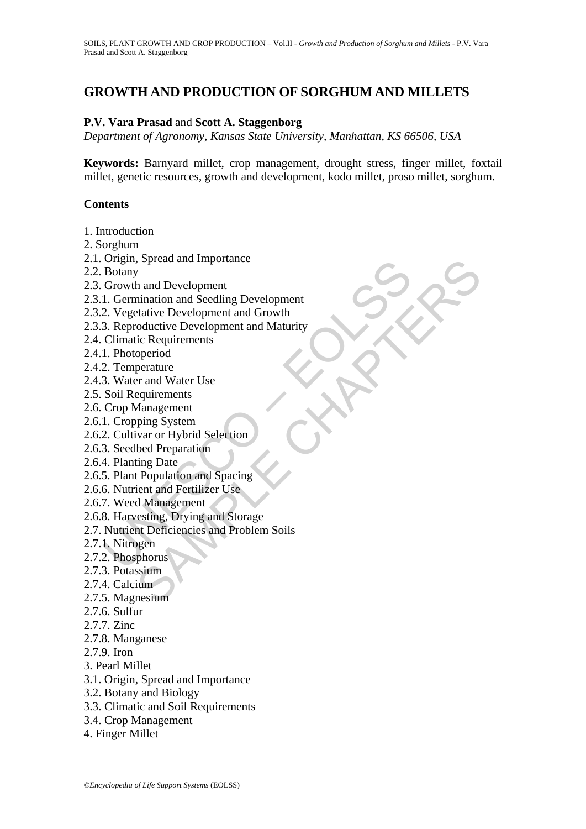# **GROWTH AND PRODUCTION OF SORGHUM AND MILLETS**

#### **P.V. Vara Prasad** and **Scott A. Staggenborg**

*Department of Agronomy, Kansas State University, Manhattan, KS 66506, USA*

**Keywords:** Barnyard millet, crop management, drought stress, finger millet, foxtail millet, genetic resources, growth and development, kodo millet, proso millet, sorghum.

#### **Contents**

- 1. Introduction
- 2. Sorghum
- 2.1. Origin, Spread and Importance
- 2.2. Botany
- 2.3. Growth and Development
- 2.3.1. Germination and Seedling Development
- 2.3.2. Vegetative Development and Growth
- Stating, splead and importance<br>
Botany<br>
Growth and Development<br>
1. Germination and Seedling Development<br>
2. Vegetative Development and Growth<br>
3. Reproductive Development and Maturity<br>
Climatic Requirements<br>
1. Photoperiod , Spread and Importance<br>
In and Development and Growth<br>
ratative Development and Growth<br>
ratative Development and Maturity<br>
coluctive Development and Maturity<br>
coluctive Development and Maturity<br>
cic Requirements<br>
operiod<br> 2.3.3. Reproductive Development and Maturity
- 2.4. Climatic Requirements
- 2.4.1. Photoperiod
- 2.4.2. Temperature
- 2.4.3. Water and Water Use
- 2.5. Soil Requirements
- 2.6. Crop Management
- 2.6.1. Cropping System
- 2.6.2. Cultivar or Hybrid Selection
- 2.6.3. Seedbed Preparation
- 2.6.4. Planting Date
- 2.6.5. Plant Population and Spacing
- 2.6.6. Nutrient and Fertilizer Use
- 2.6.7. Weed Management
- 2.6.8. Harvesting, Drying and Storage
- 2.7. Nutrient Deficiencies and Problem Soils
- 2.7.1. Nitrogen
- 2.7.2. Phosphorus
- 2.7.3. Potassium
- 2.7.4. Calcium
- 2.7.5. Magnesium
- 2.7.6. Sulfur
- 2.7.7. Zinc
- 2.7.8. Manganese
- 2.7.9. Iron
- 3. Pearl Millet
- 3.1. Origin, Spread and Importance
- 3.2. Botany and Biology
- 3.3. Climatic and Soil Requirements
- 3.4. Crop Management
- 4. Finger Millet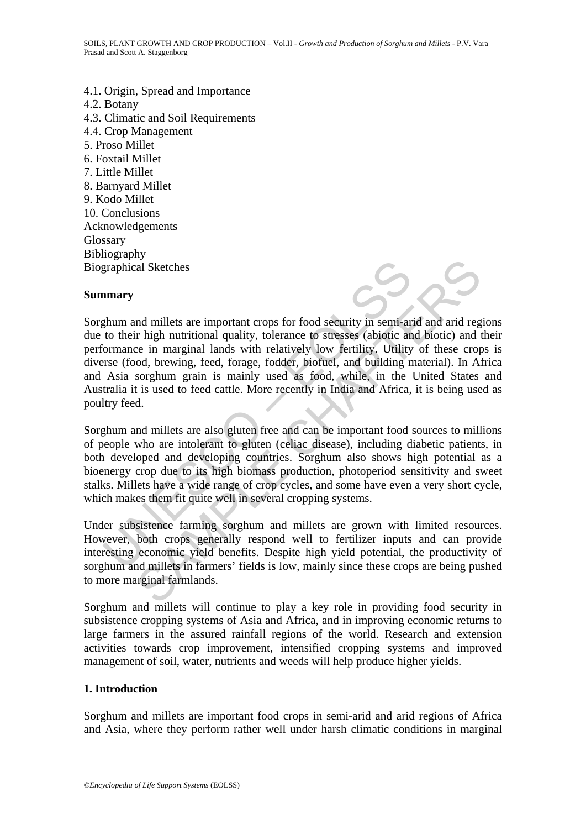4.1. Origin, Spread and Importance 4.2. Botany 4.3. Climatic and Soil Requirements 4.4. Crop Management 5. Proso Millet 6. Foxtail Millet 7. Little Millet 8. Barnyard Millet 9. Kodo Millet 10. Conclusions Acknowledgements Glossary Bibliography Biographical Sketches

#### **Summary**



Sorghum and millets are also gluten free and can be important food sources to millions of people who are intolerant to gluten (celiac disease), including diabetic patients, in both developed and developing countries. Sorghum also shows high potential as a bioenergy crop due to its high biomass production, photoperiod sensitivity and sweet stalks. Millets have a wide range of crop cycles, and some have even a very short cycle, which makes them fit quite well in several cropping systems.

Under subsistence farming sorghum and millets are grown with limited resources. However, both crops generally respond well to fertilizer inputs and can provide interesting economic yield benefits. Despite high yield potential, the productivity of sorghum and millets in farmers' fields is low, mainly since these crops are being pushed to more marginal farmlands.

Sorghum and millets will continue to play a key role in providing food security in subsistence cropping systems of Asia and Africa, and in improving economic returns to large farmers in the assured rainfall regions of the world. Research and extension activities towards crop improvement, intensified cropping systems and improved management of soil, water, nutrients and weeds will help produce higher yields.

#### **1. Introduction**

Sorghum and millets are important food crops in semi-arid and arid regions of Africa and Asia, where they perform rather well under harsh climatic conditions in marginal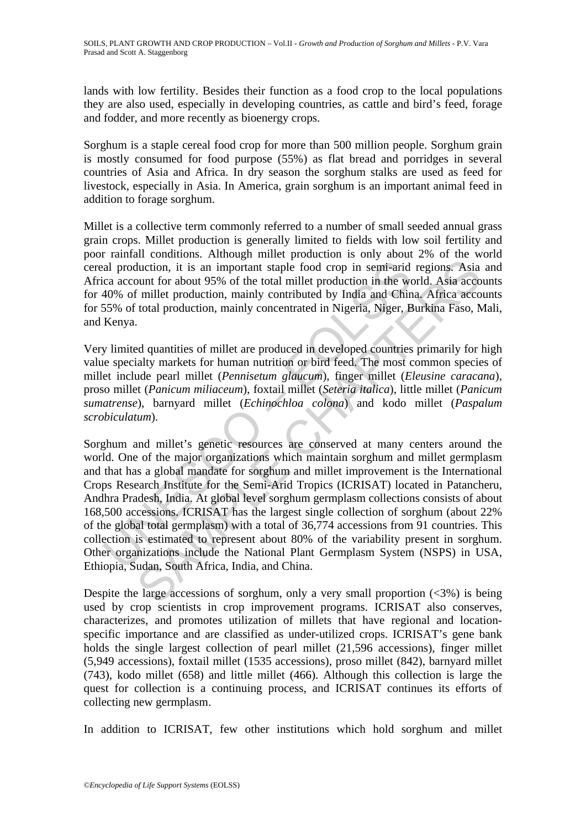lands with low fertility. Besides their function as a food crop to the local populations they are also used, especially in developing countries, as cattle and bird's feed, forage and fodder, and more recently as bioenergy crops.

Sorghum is a staple cereal food crop for more than 500 million people. Sorghum grain is mostly consumed for food purpose (55%) as flat bread and porridges in several countries of Asia and Africa. In dry season the sorghum stalks are used as feed for livestock, especially in Asia. In America, grain sorghum is an important animal feed in addition to forage sorghum.

Millet is a collective term commonly referred to a number of small seeded annual grass grain crops. Millet production is generally limited to fields with low soil fertility and poor rainfall conditions. Although millet production is only about 2% of the world cereal production, it is an important staple food crop in semi-arid regions. Asia and Africa account for about 95% of the total millet production in the world. Asia accounts for 40% of millet production, mainly contributed by India and China. Africa accounts for 55% of total production, mainly concentrated in Nigeria, Niger, Burkina Faso, Mali, and Kenya.

Very limited quantities of millet are produced in developed countries primarily for high value specialty markets for human nutrition or bird feed. The most common species of millet include pearl millet (*Pennisetum glaucum*), finger millet (*Eleusine caracana*), proso millet (*Panicum miliaceum*), foxtail millet (*Seteria italica*), little millet (*Panicum sumatrense*), barnyard millet (*Echinochloa colona*) and kodo millet (*Paspalum scrobiculatum*).

al production, it is an important staple food crop in semi-arid<br>ca account for about 95% of the total millet production in the we<br>40% of millet production, mainly contributed by India and Chin<br>55% of total production, mai duction, it is an important staple food crop in semi-arid regions. Asia about for about 95% of the total millet production in the world. Asia accordilect production, mainly concentrated in Nigeria, Niger, Burkina Faso, N<br> Sorghum and millet's genetic resources are conserved at many centers around the world. One of the major organizations which maintain sorghum and millet germplasm and that has a global mandate for sorghum and millet improvement is the International Crops Research Institute for the Semi-Arid Tropics (ICRISAT) located in Patancheru, Andhra Pradesh, India. At global level sorghum germplasm collections consists of about 168,500 accessions. ICRISAT has the largest single collection of sorghum (about 22% of the global total germplasm) with a total of 36,774 accessions from 91 countries. This collection is estimated to represent about 80% of the variability present in sorghum. Other organizations include the National Plant Germplasm System (NSPS) in USA, Ethiopia, Sudan, South Africa, India, and China.

Despite the large accessions of sorghum, only a very small proportion  $\langle \langle 3\% \rangle$  is being used by crop scientists in crop improvement programs. ICRISAT also conserves, characterizes, and promotes utilization of millets that have regional and locationspecific importance and are classified as under-utilized crops. ICRISAT's gene bank holds the single largest collection of pearl millet (21,596 accessions), finger millet (5,949 accessions), foxtail millet (1535 accessions), proso millet (842), barnyard millet (743), kodo millet (658) and little millet (466). Although this collection is large the quest for collection is a continuing process, and ICRISAT continues its efforts of collecting new germplasm.

In addition to ICRISAT, few other institutions which hold sorghum and millet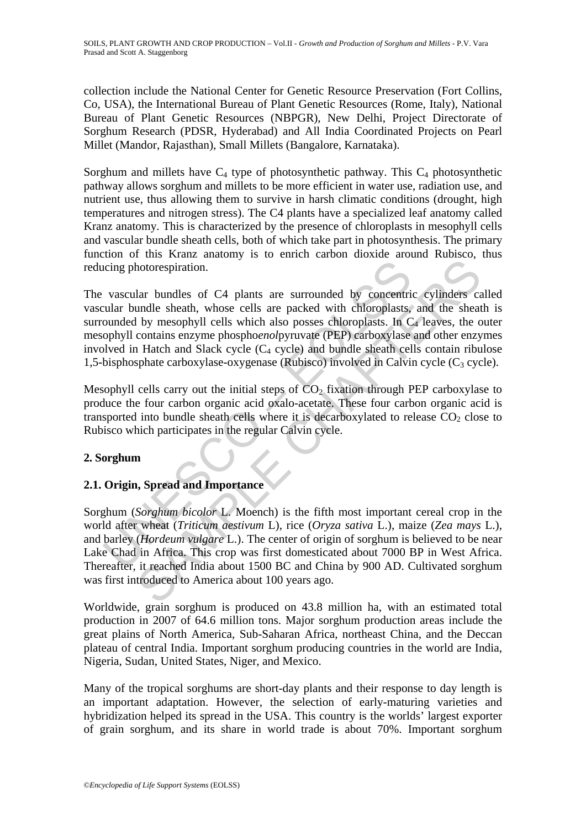collection include the National Center for Genetic Resource Preservation (Fort Collins, Co, USA), the International Bureau of Plant Genetic Resources (Rome, Italy), National Bureau of Plant Genetic Resources (NBPGR), New Delhi, Project Directorate of Sorghum Research (PDSR, Hyderabad) and All India Coordinated Projects on Pearl Millet (Mandor, Rajasthan), Small Millets (Bangalore, Karnataka).

Sorghum and millets have  $C_4$  type of photosynthetic pathway. This  $C_4$  photosynthetic pathway allows sorghum and millets to be more efficient in water use, radiation use, and nutrient use, thus allowing them to survive in harsh climatic conditions (drought, high temperatures and nitrogen stress). The C4 plants have a specialized leaf anatomy called Kranz anatomy. This is characterized by the presence of chloroplasts in mesophyll cells and vascular bundle sheath cells, both of which take part in photosynthesis. The primary function of this Kranz anatomy is to enrich carbon dioxide around Rubisco, thus reducing photorespiration.

icing photorespiration.<br>
vascular bundles of C4 plants are surrounded by concentrial<br>
valuar bundle sheath, whose cells are packed with chloroplasts. In C<br>
ounded by mesophyll cells which also posses chloroplasts. In C<br>
o hotorespiration.<br>
lar bundles of C4 plants are surrounded by concentric cylinders can<br>
undle sheath, whose cells are packed with chloroplasts, and the sheat<br>
lby mesophyll cells which also posses chloroplasts. In C<sub>4</sub> lea The vascular bundles of C4 plants are surrounded by concentric cylinders called vascular bundle sheath, whose cells are packed with chloroplasts, and the sheath is surrounded by mesophyll cells which also posses chloroplasts. In  $C_4$  leaves, the outer mesophyll contains enzyme phospho*enol*pyruvate (PEP) carboxylase and other enzymes involved in Hatch and Slack cycle  $(C_4$  cycle) and bundle sheath cells contain ribulose 1,5-bisphosphate carboxylase-oxygenase (Rubisco) involved in Calvin cycle  $(C_3$  cycle).

Mesophyll cells carry out the initial steps of  $CO<sub>2</sub>$  fixation through PEP carboxylase to produce the four carbon organic acid oxalo-acetate. These four carbon organic acid is transported into bundle sheath cells where it is decarboxylated to release  $CO<sub>2</sub>$  close to Rubisco which participates in the regular Calvin cycle.

### **2. Sorghum**

### **2.1. Origin, Spread and Importance**

Sorghum (*Sorghum bicolor* L. Moench) is the fifth most important cereal crop in the world after wheat (*Triticum aestivum* L), rice (*Oryza sativa* L.), maize (*Zea mays* L.), and barley (*Hordeum vulgare* L.). The center of origin of sorghum is believed to be near Lake Chad in Africa. This crop was first domesticated about 7000 BP in West Africa. Thereafter, it reached India about 1500 BC and China by 900 AD. Cultivated sorghum was first introduced to America about 100 years ago.

Worldwide, grain sorghum is produced on 43.8 million ha, with an estimated total production in 2007 of 64.6 million tons. Major sorghum production areas include the great plains of North America, Sub-Saharan Africa, northeast China, and the Deccan plateau of central India. Important sorghum producing countries in the world are India, Nigeria, Sudan, United States, Niger, and Mexico.

Many of the tropical sorghums are short-day plants and their response to day length is an important adaptation. However, the selection of early-maturing varieties and hybridization helped its spread in the USA. This country is the worlds' largest exporter of grain sorghum, and its share in world trade is about 70%. Important sorghum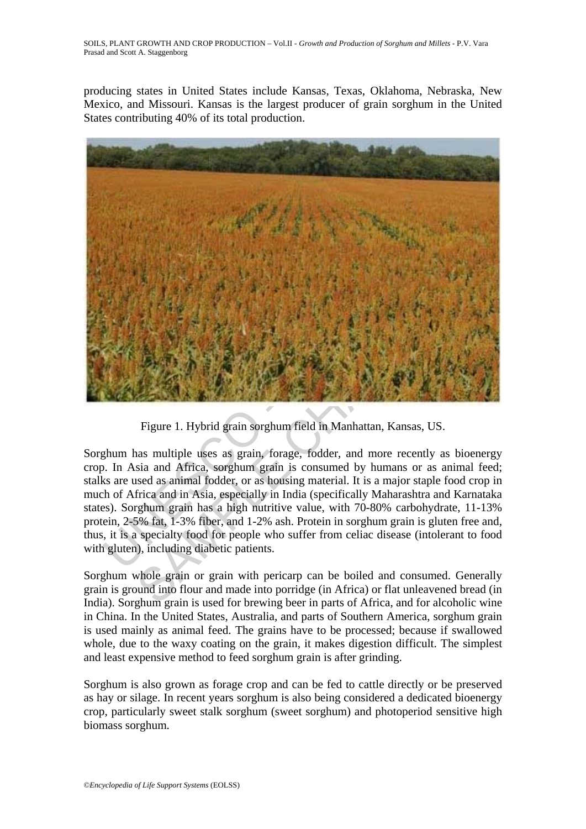producing states in United States include Kansas, Texas, Oklahoma, Nebraska, New Mexico, and Missouri. Kansas is the largest producer of grain sorghum in the United States contributing 40% of its total production.



Figure 1. Hybrid grain sorghum field in Manhattan, Kansas, US.

Sorghum has multiple uses as grain, forage, fodder, and more recently as bioenergy crop. In Asia and Africa, sorghum grain is consumed by humans or as animal feed; stalks are used as animal fodder, or as housing material. It is a major staple food crop in much of Africa and in Asia, especially in India (specifically Maharashtra and Karnataka states). Sorghum grain has a high nutritive value, with 70-80% carbohydrate, 11-13% protein, 2-5% fat, 1-3% fiber, and 1-2% ash. Protein in sorghum grain is gluten free and, thus, it is a specialty food for people who suffer from celiac disease (intolerant to food with gluten), including diabetic patients.

Sorghum whole grain or grain with pericarp can be boiled and consumed. Generally grain is ground into flour and made into porridge (in Africa) or flat unleavened bread (in India). Sorghum grain is used for brewing beer in parts of Africa, and for alcoholic wine in China. In the United States, Australia, and parts of Southern America, sorghum grain is used mainly as animal feed. The grains have to be processed; because if swallowed whole, due to the waxy coating on the grain, it makes digestion difficult. The simplest and least expensive method to feed sorghum grain is after grinding.

Sorghum is also grown as forage crop and can be fed to cattle directly or be preserved as hay or silage. In recent years sorghum is also being considered a dedicated bioenergy crop, particularly sweet stalk sorghum (sweet sorghum) and photoperiod sensitive high biomass sorghum.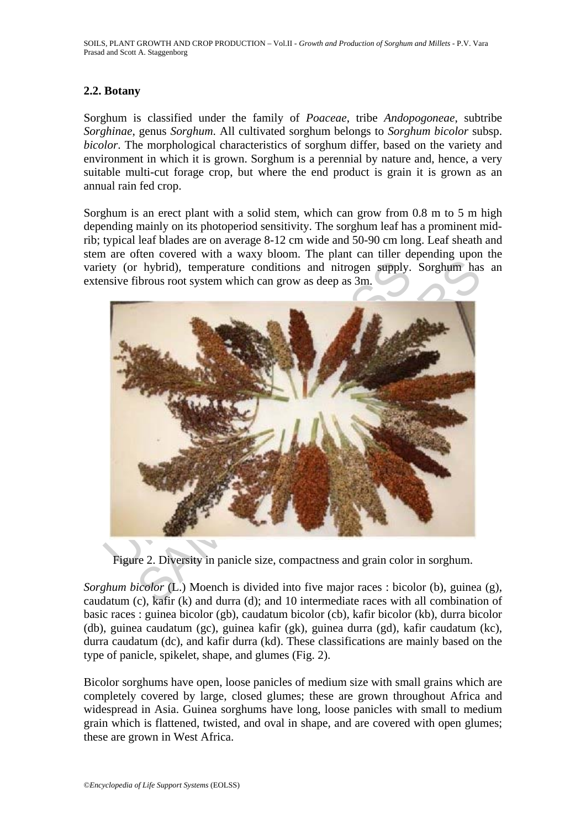SOILS, PLANT GROWTH AND CROP PRODUCTION – Vol.II - *Growth and Production of Sorghum and Millets* - P.V. Vara Prasad and Scott A. Staggenborg

#### **2.2. Botany**

Sorghum is classified under the family of *Poaceae*, tribe *Andopogoneae*, subtribe *Sorghinae*, genus *Sorghum*. All cultivated sorghum belongs to *Sorghum bicolor* subsp. *bicolor*. The morphological characteristics of sorghum differ, based on the variety and environment in which it is grown. Sorghum is a perennial by nature and, hence, a very suitable multi-cut forage crop, but where the end product is grain it is grown as an annual rain fed crop.

Sorghum is an erect plant with a solid stem, which can grow from 0.8 m to 5 m high depending mainly on its photoperiod sensitivity. The sorghum leaf has a prominent midrib; typical leaf blades are on average 8-12 cm wide and 50-90 cm long. Leaf sheath and stem are often covered with a waxy bloom. The plant can tiller depending upon the variety (or hybrid), temperature conditions and nitrogen supply. Sorghum has an extensive fibrous root system which can grow as deep as 3m.



Figure 2. Diversity in panicle size, compactness and grain color in sorghum.

*Sorghum bicolor* (L.) Moench is divided into five major races : bicolor (b), guinea (g), caudatum (c), kafir (k) and durra (d); and 10 intermediate races with all combination of basic races : guinea bicolor (gb), caudatum bicolor (cb), kafir bicolor (kb), durra bicolor (db), guinea caudatum (gc), guinea kafir (gk), guinea durra (gd), kafir caudatum (kc), durra caudatum (dc), and kafir durra (kd). These classifications are mainly based on the type of panicle, spikelet, shape, and glumes (Fig. 2).

Bicolor sorghums have open, loose panicles of medium size with small grains which are completely covered by large, closed glumes; these are grown throughout Africa and widespread in Asia. Guinea sorghums have long, loose panicles with small to medium grain which is flattened, twisted, and oval in shape, and are covered with open glumes; these are grown in West Africa.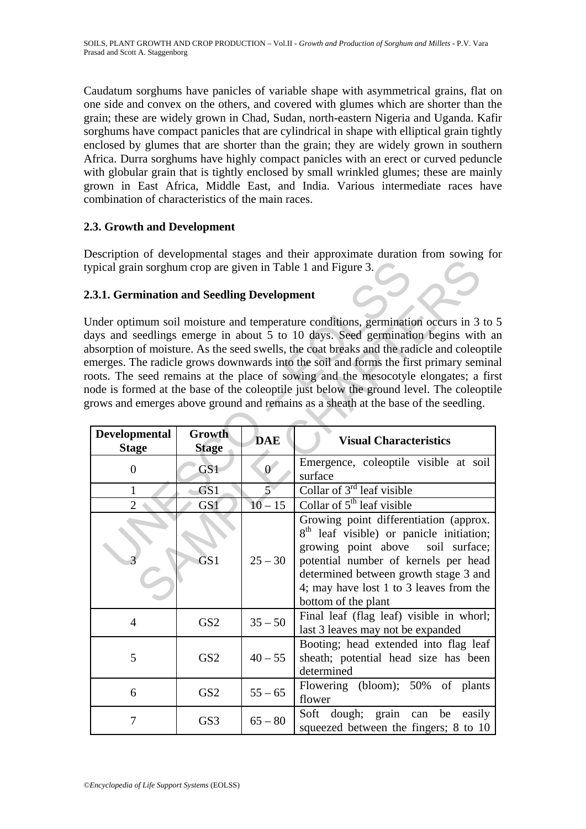Caudatum sorghums have panicles of variable shape with asymmetrical grains, flat on one side and convex on the others, and covered with glumes which are shorter than the grain; these are widely grown in Chad, Sudan, north-eastern Nigeria and Uganda. Kafir sorghums have compact panicles that are cylindrical in shape with elliptical grain tightly enclosed by glumes that are shorter than the grain; they are widely grown in southern Africa. Durra sorghums have highly compact panicles with an erect or curved peduncle with globular grain that is tightly enclosed by small wrinkled glumes; these are mainly grown in East Africa, Middle East, and India. Various intermediate races have combination of characteristics of the main races.

### **2.3. Growth and Development**

Description of developmental stages and their approximate duration from sowing for typical grain sorghum crop are given in Table 1 and Figure 3.

### **2.3.1. Germination and Seedling Development**

| ypical grain sorghum crop are given in Table 1 and Figure 3.                                                                                                                                                                                                                                                                                                                                                                                                                                                                                                                                                                        |                        |                |                                                                                                                                                                                                                                                                                           |  |  |
|-------------------------------------------------------------------------------------------------------------------------------------------------------------------------------------------------------------------------------------------------------------------------------------------------------------------------------------------------------------------------------------------------------------------------------------------------------------------------------------------------------------------------------------------------------------------------------------------------------------------------------------|------------------------|----------------|-------------------------------------------------------------------------------------------------------------------------------------------------------------------------------------------------------------------------------------------------------------------------------------------|--|--|
| .3.1. Germination and Seedling Development                                                                                                                                                                                                                                                                                                                                                                                                                                                                                                                                                                                          |                        |                |                                                                                                                                                                                                                                                                                           |  |  |
| Inder optimum soil moisture and temperature conditions, germination occurs in 3 to :<br>lays and seedlings emerge in about 5 to 10 days. Seed germination begins with a<br>bsorption of moisture. As the seed swells, the coat breaks and the radicle and coleoptil<br>merges. The radicle grows downwards into the soil and forms the first primary semina<br>poots. The seed remains at the place of sowing and the mesocotyle elongates; a first<br>ode is formed at the base of the coleoptile just below the ground level. The coleoptil<br>rows and emerges above ground and remains as a sheath at the base of the seedling. |                        |                |                                                                                                                                                                                                                                                                                           |  |  |
| <b>Developmental</b><br><b>Stage</b>                                                                                                                                                                                                                                                                                                                                                                                                                                                                                                                                                                                                | Growth<br><b>Stage</b> | <b>DAE</b>     | <b>Visual Characteristics</b>                                                                                                                                                                                                                                                             |  |  |
| $\overline{0}$                                                                                                                                                                                                                                                                                                                                                                                                                                                                                                                                                                                                                      | GS <sub>1</sub>        | $\overline{0}$ | Emergence, coleoptile visible at soil<br>surface                                                                                                                                                                                                                                          |  |  |
| 1                                                                                                                                                                                                                                                                                                                                                                                                                                                                                                                                                                                                                                   | GS1                    | $\overline{5}$ | Collar of $3^{rd}$ leaf visible                                                                                                                                                                                                                                                           |  |  |
| $\overline{2}$                                                                                                                                                                                                                                                                                                                                                                                                                                                                                                                                                                                                                      | GS1                    | $10 - 15$      | Collar of $5th$ leaf visible                                                                                                                                                                                                                                                              |  |  |
|                                                                                                                                                                                                                                                                                                                                                                                                                                                                                                                                                                                                                                     | GS <sub>1</sub>        | $25 - 30$      | Growing point differentiation (approx.<br>8 <sup>th</sup> leaf visible) or panicle initiation;<br>growing point above<br>soil surface;<br>potential number of kernels per head<br>determined between growth stage 3 and<br>4; may have lost 1 to 3 leaves from the<br>bottom of the plant |  |  |
| $\overline{4}$                                                                                                                                                                                                                                                                                                                                                                                                                                                                                                                                                                                                                      | GS <sub>2</sub>        | $35 - 50$      | Final leaf (flag leaf) visible in whorl;<br>last 3 leaves may not be expanded                                                                                                                                                                                                             |  |  |
| 5                                                                                                                                                                                                                                                                                                                                                                                                                                                                                                                                                                                                                                   | GS <sub>2</sub>        | $40 - 55$      | Booting; head extended into flag leaf<br>sheath; potential head size has been<br>determined                                                                                                                                                                                               |  |  |
| 6                                                                                                                                                                                                                                                                                                                                                                                                                                                                                                                                                                                                                                   | GS <sub>2</sub>        | $55 - 65$      | (bloom); 50% of plants<br>Flowering<br>flower                                                                                                                                                                                                                                             |  |  |
| 7                                                                                                                                                                                                                                                                                                                                                                                                                                                                                                                                                                                                                                   | GS3                    | $65 - 80$      | Soft dough; grain<br>be easily<br>can<br>squeezed between the fingers; 8 to 10                                                                                                                                                                                                            |  |  |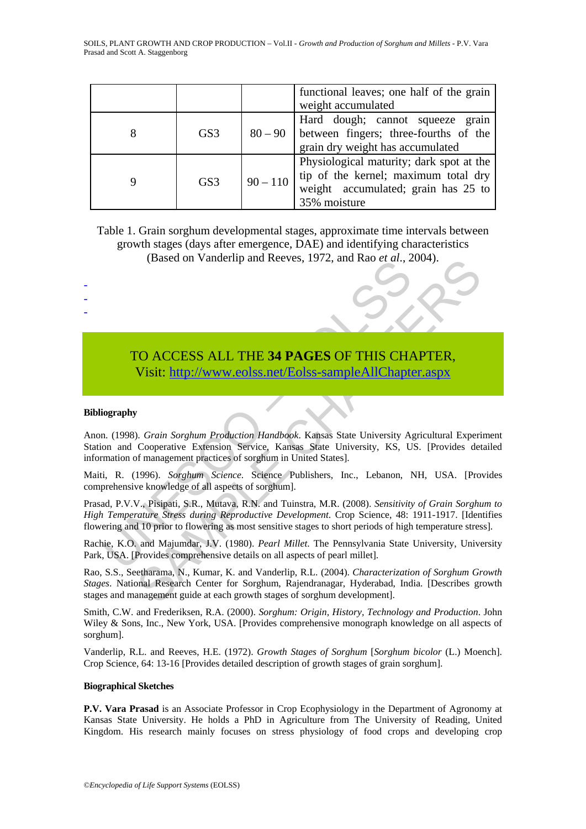|     |            | functional leaves; one half of the grain<br>weight accumulated                                                                          |
|-----|------------|-----------------------------------------------------------------------------------------------------------------------------------------|
| GS3 | $80 - 90$  | Hard dough; cannot squeeze grain<br>between fingers; three-fourths of the<br>grain dry weight has accumulated                           |
| GS3 | $90 - 110$ | Physiological maturity; dark spot at the<br>tip of the kernel; maximum total dry<br>weight accumulated; grain has 25 to<br>35% moisture |

Table 1. Grain sorghum developmental stages, approximate time intervals between growth stages (days after emergence, DAE) and identifying characteristics (Based on Vanderlip and Reeves, 1972, and Rao *et al*., 2004).

## TO ACCESS ALL THE **34 PAGES** OF THIS CHAPTER, Visit: http://www.eolss.net/Eolss-sampleAllChapter.aspx

#### **Bibliography**

- - -

(Dased of Vanderinp and Reeves, 1972, and Rao *et al., 2*<br> **TO ACCESS ALL THE 34 PAGES OF THIS CHA**<br>
Visit: http://www.colss.net/Eolss-sampleAllChapte<br>
ography<br>
in (1998). *Grain Sorghum Production Handbook*. Kansas State (based on vanderinp and Reeves, 1972, and Rao et at., 2004).<br>
CO ACCESS ALL THE 34 PAGES OF THIS CH[APT](https://www.eolss.net/ebooklib/sc_cart.aspx?File=E1-05A-14-00)ER,<br>
Visit: http://www.eolss.net/Eolss-sampleAllChapter.aspx<br>
7. Crain Sorghum Production Handbook. Kansas State Univer Anon. (1998). *Grain Sorghum Production Handbook*. Kansas State University Agricultural Experiment Station and Cooperative Extension Service, Kansas State University, KS, US. [Provides detailed information of management practices of sorghum in United States].

Maiti, R. (1996). *Sorghum Science*. Science Publishers, Inc., Lebanon, NH, USA. [Provides comprehensive knowledge of all aspects of sorghum].

Prasad, P.V.V., Pisipati, S.R., Mutava, R.N. and Tuinstra, M.R. (2008). *Sensitivity of Grain Sorghum to High Temperature Stress during Reproductive Development*. Crop Science, 48: 1911-1917. [Identifies flowering and 10 prior to flowering as most sensitive stages to short periods of high temperature stress].

Rachie, K.O. and Majumdar, J.V. (1980). *Pearl Millet*. The Pennsylvania State University, University Park, USA. [Provides comprehensive details on all aspects of pearl millet].

Rao, S.S., Seetharama, N., Kumar, K. and Vanderlip, R.L. (2004). *Characterization of Sorghum Growth Stages*. National Research Center for Sorghum, Rajendranagar, Hyderabad, India. [Describes growth stages and management guide at each growth stages of sorghum development].

Smith, C.W. and Frederiksen, R.A. (2000). *Sorghum: Origin, History, Technology and Production*. John Wiley & Sons, Inc., New York, USA. [Provides comprehensive monograph knowledge on all aspects of sorghum].

Vanderlip, R.L. and Reeves, H.E. (1972). *Growth Stages of Sorghum* [*Sorghum bicolor* (L.) Moench]. Crop Science, 64: 13-16 [Provides detailed description of growth stages of grain sorghum].

#### **Biographical Sketches**

**P.V. Vara Prasad** is an Associate Professor in Crop Ecophysiology in the Department of Agronomy at Kansas State University. He holds a PhD in Agriculture from The University of Reading, United Kingdom. His research mainly focuses on stress physiology of food crops and developing crop